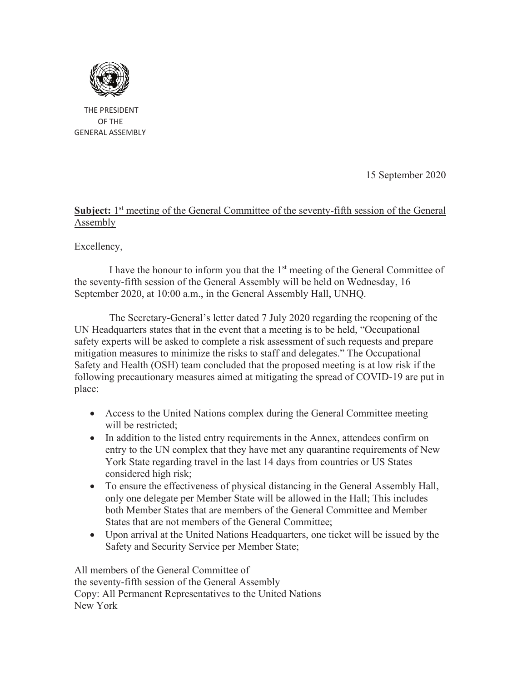

 THE PRESIDENT OF THE GENERAL ASSEMBLY

15 September 2020

## Subject: 1<sup>st</sup> meeting of the General Committee of the seventy-fifth session of the General Assembly

Excellency,

I have the honour to inform you that the 1<sup>st</sup> meeting of the General Committee of the seventy-fifth session of the General Assembly will be held on Wednesday, 16 September 2020, at 10:00 a.m., in the General Assembly Hall, UNHQ.

The Secretary-General's letter dated 7 July 2020 regarding the reopening of the UN Headquarters states that in the event that a meeting is to be held, "Occupational safety experts will be asked to complete a risk assessment of such requests and prepare mitigation measures to minimize the risks to staff and delegates." The Occupational Safety and Health (OSH) team concluded that the proposed meeting is at low risk if the following precautionary measures aimed at mitigating the spread of COVID-19 are put in place:

- · Access to the United Nations complex during the General Committee meeting will be restricted:
- In addition to the listed entry requirements in the Annex, attendees confirm on entry to the UN complex that they have met any quarantine requirements of New York State regarding travel in the last 14 days from countries or US States considered high risk;
- · To ensure the effectiveness of physical distancing in the General Assembly Hall, only one delegate per Member State will be allowed in the Hall; This includes both Member States that are members of the General Committee and Member States that are not members of the General Committee;
- Upon arrival at the United Nations Headquarters, one ticket will be issued by the Safety and Security Service per Member State;

All members of the General Committee of the seventy-fifth session of the General Assembly Copy: All Permanent Representatives to the United Nations New York